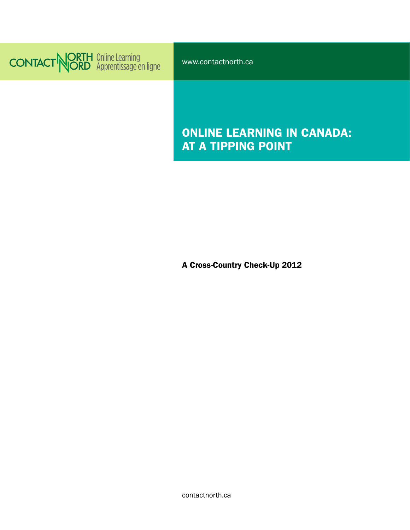

www.contactnorth.ca

# ONLINE LEARNING IN CANADA: AT A TIPPING POINT

A Cross-Country Check-Up 2012

contactnorth.ca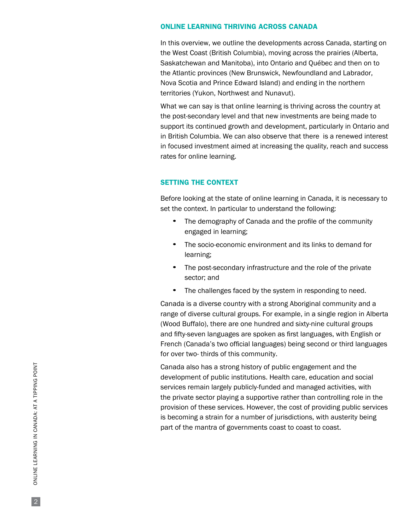#### ONLINE LEARNING THRIVING ACROSS CANADA

In this overview, we outline the developments across Canada, starting on the West Coast (British Columbia), moving across the prairies (Alberta, Saskatchewan and Manitoba), into Ontario and Québec and then on to the Atlantic provinces (New Brunswick, Newfoundland and Labrador, Nova Scotia and Prince Edward Island) and ending in the northern territories (Yukon, Northwest and Nunavut).

What we can say is that online learning is thriving across the country at the post-secondary level and that new investments are being made to support its continued growth and development, particularly in Ontario and in British Columbia. We can also observe that there is a renewed interest in focused investment aimed at increasing the quality, reach and success rates for online learning.

## SETTING THE CONTEXT

Before looking at the state of online learning in Canada, it is necessary to set the context. In particular to understand the following:

- The demography of Canada and the profile of the community engaged in learning;
- The socio-economic environment and its links to demand for learning;
- The post-secondary infrastructure and the role of the private sector; and
- The challenges faced by the system in responding to need.

Canada is a diverse country with a strong Aboriginal community and a range of diverse cultural groups. For example, in a single region in Alberta (Wood Buffalo), there are one hundred and sixty-nine cultural groups and fifty-seven languages are spoken as first languages, with English or French (Canada's two official languages) being second or third languages for over two- thirds of this community.

Canada also has a strong history of public engagement and the development of public institutions. Health care, education and social services remain largely publicly-funded and managed activities, with the private sector playing a supportive rather than controlling role in the provision of these services. However, the cost of providing public services is becoming a strain for a number of jurisdictions, with austerity being part of the mantra of governments coast to coast to coast.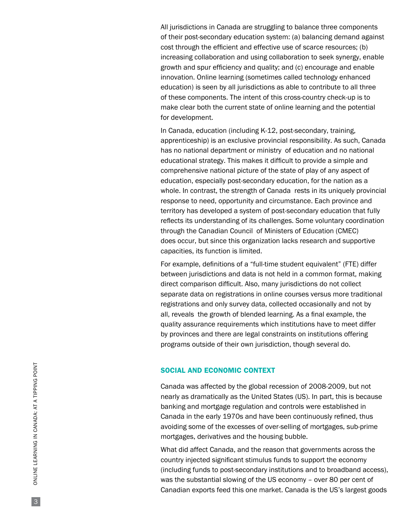All jurisdictions in Canada are struggling to balance three components of their post-secondary education system: (a) balancing demand against cost through the efficient and effective use of scarce resources; (b) increasing collaboration and using collaboration to seek synergy, enable growth and spur efficiency and quality; and (c) encourage and enable innovation. Online learning (sometimes called technology enhanced education) is seen by all jurisdictions as able to contribute to all three of these components. The intent of this cross-country check-up is to make clear both the current state of online learning and the potential for development.

In Canada, education (including K-12, post-secondary, training, apprenticeship) is an exclusive provincial responsibility. As such, Canada has no national department or ministry of education and no national educational strategy. This makes it difficult to provide a simple and comprehensive national picture of the state of play of any aspect of education, especially post-secondary education, for the nation as a whole. In contrast, the strength of Canada rests in its uniquely provincial response to need, opportunity and circumstance. Each province and territory has developed a system of post-secondary education that fully reflects its understanding of its challenges. Some voluntary coordination through the Canadian Council of Ministers of Education (CMEC) does occur, but since this organization lacks research and supportive capacities, its function is limited.

For example, definitions of a "full-time student equivalent" (FTE) differ between jurisdictions and data is not held in a common format, making direct comparison difficult. Also, many jurisdictions do not collect separate data on registrations in online courses versus more traditional registrations and only survey data, collected occasionally and not by all, reveals the growth of blended learning. As a final example, the quality assurance requirements which institutions have to meet differ by provinces and there are legal constraints on institutions offering programs outside of their own jurisdiction, though several do.

#### SOCIAL AND ECONOMIC CONTEXT

Canada was affected by the global recession of 2008-2009, but not nearly as dramatically as the United States (US). In part, this is because banking and mortgage regulation and controls were established in Canada in the early 1970s and have been continuously refined, thus avoiding some of the excesses of over-selling of mortgages, sub-prime mortgages, derivatives and the housing bubble.

What did affect Canada, and the reason that governments across the country injected significant stimulus funds to support the economy (including funds to post-secondary institutions and to broadband access), was the substantial slowing of the US economy – over 80 per cent of Canadian exports feed this one market. Canada is the US's largest goods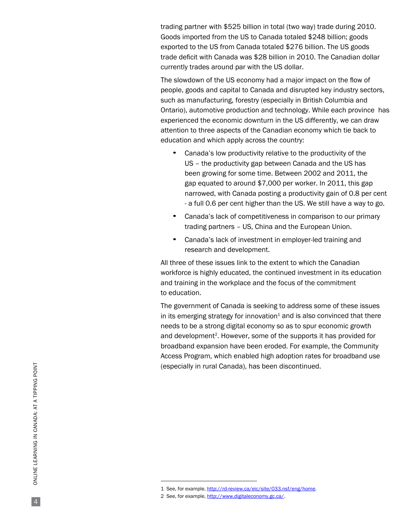trading partner with \$525 billion in total (two way) trade during 2010. Goods imported from the US to Canada totaled \$248 billion; goods exported to the US from Canada totaled \$276 billion. The US goods trade deficit with Canada was \$28 billion in 2010. The Canadian dollar currently trades around par with the US dollar.

The slowdown of the US economy had a major impact on the flow of people, goods and capital to Canada and disrupted key industry sectors, such as manufacturing, forestry (especially in British Columbia and Ontario), automotive production and technology. While each province has experienced the economic downturn in the US differently, we can draw attention to three aspects of the Canadian economy which tie back to education and which apply across the country:

- Canada's low productivity relative to the productivity of the US – the productivity gap between Canada and the US has been growing for some time. Between 2002 and 2011, the gap equated to around \$7,000 per worker. In 2011, this gap narrowed, with Canada posting a productivity gain of 0.8 per cent - a full 0.6 per cent higher than the US. We still have a way to go.
- Canada's lack of competitiveness in comparison to our primary trading partners – US, China and the European Union.
- Canada's lack of investment in employer-led training and research and development.

All three of these issues link to the extent to which the Canadian workforce is highly educated, the continued investment in its education and training in the workplace and the focus of the commitment to education.

The government of Canada is seeking to address some of these issues in its emerging strategy for innovation<sup>1</sup> and is also convinced that there needs to be a strong digital economy so as to spur economic growth and development<sup>2</sup>. However, some of the supports it has provided for broadband expansion have been eroded. For example, the Community Access Program, which enabled high adoption rates for broadband use (especially in rural Canada), has been discontinued.

<sup>1</sup> See, for example, [http://rd-review.ca/eic/site/033.nsf/eng/home.](http://rd-review.ca/eic/site/033.nsf/eng/home)

<sup>2</sup> See, for example,<http://www.digitaleconomy.gc.ca/>.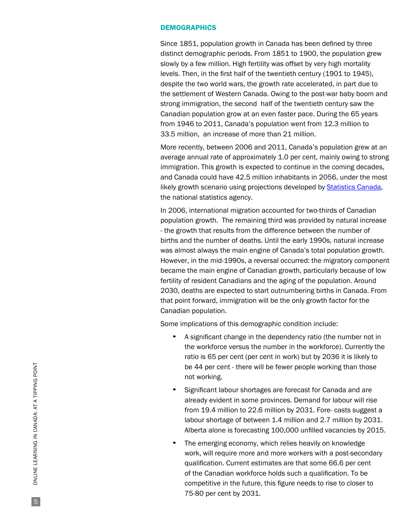## **DEMOGRAPHICS**

Since 1851, population growth in Canada has been defined by three distinct demographic periods. From 1851 to 1900, the population grew slowly by a few million. High fertility was offset by very high mortality levels. Then, in the first half of the twentieth century (1901 to 1945), despite the two world wars, the growth rate accelerated, in part due to the settlement of Western Canada. Owing to the post-war baby boom and strong immigration, the second half of the twentieth century saw the Canadian population grow at an even faster pace. During the 65 years from 1946 to 2011, Canada's population went from 12.3 million to 33.5 million, an increase of more than 21 million.

More recently, between 2006 and 2011, Canada's population grew at an average annual rate of approximately 1.0 per cent, mainly owing to strong immigration. This growth is expected to continue in the coming decades, and Canada could have 42.5 million inhabitants in 2056, under the most likely growth scenario using projections developed by [Statistics Canada](http://www.statscan.gc.ca/), the national statistics agency.

In 2006, international migration accounted for two-thirds of Canadian population growth. The remaining third was provided by natural increase - the growth that results from the difference between the number of births and the number of deaths. Until the early 1990s, natural increase was almost always the main engine of Canada's total population growth. However, in the mid-1990s, a reversal occurred: the migratory component became the main engine of Canadian growth, particularly because of low fertility of resident Canadians and the aging of the population. Around 2030, deaths are expected to start outnumbering births in Canada. From that point forward, immigration will be the only growth factor for the Canadian population.

Some implications of this demographic condition include:

- <sup>A</sup> significant change in the dependency ratio (the number not in the workforce versus the number in the workforce). Currently the ratio is 65 per cent (per cent in work) but by 2036 it is likely to be 44 per cent - there will be fewer people working than those not working.
- Significant labour shortages are forecast for Canada and are already evident in some provinces. Demand for labour will rise from 19.4 million to 22.6 million by 2031. Fore- casts suggest a labour shortage of between 1.4 million and 2.7 million by 2031. Alberta alone is forecasting 100,000 unfilled vacancies by 2015.
- The emerging economy, which relies heavily on knowledge work, will require more and more workers with a post-secondary qualification. Current estimates are that some 66.6 per cent of the Canadian workforce holds such a qualification. To be competitive in the future, this figure needs to rise to closer to 75-80 per cent by 2031.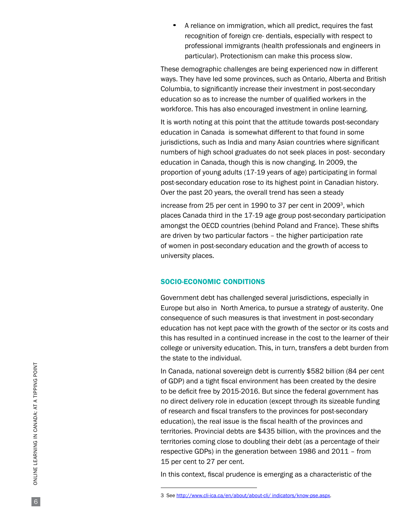• A reliance on immigration, which all predict, requires the fast recognition of foreign cre- dentials, especially with respect to professional immigrants (health professionals and engineers in particular). Protectionism can make this process slow.

These demographic challenges are being experienced now in different ways. They have led some provinces, such as Ontario, Alberta and British Columbia, to significantly increase their investment in post-secondary education so as to increase the number of qualified workers in the workforce. This has also encouraged investment in online learning.

It is worth noting at this point that the attitude towards post-secondary education in Canada is somewhat different to that found in some jurisdictions, such as India and many Asian countries where significant numbers of high school graduates do not seek places in post- secondary education in Canada, though this is now changing. In 2009, the proportion of young adults (17-19 years of age) participating in formal post-secondary education rose to its highest point in Canadian history. Over the past 20 years, the overall trend has seen a steady

increase from 25 per cent in 1990 to 37 per cent in 2009<sup>3</sup>, which places Canada third in the 17-19 age group post-secondary participation amongst the OECD countries (behind Poland and France). These shifts are driven by two particular factors – the higher participation rate of women in post-secondary education and the growth of access to university places.

## SOCIO-ECONOMIC CONDITIONS

Government debt has challenged several jurisdictions, especially in Europe but also in North America, to pursue a strategy of austerity. One consequence of such measures is that investment in post-secondary education has not kept pace with the growth of the sector or its costs and this has resulted in a continued increase in the cost to the learner of their college or university education. This, in turn, transfers a debt burden from the state to the individual.

In Canada, national sovereign debt is currently \$582 billion (84 per cent of GDP) and a tight fiscal environment has been created by the desire to be deficit free by 2015-2016. But since the federal government has no direct delivery role in education (except through its sizeable funding of research and fiscal transfers to the provinces for post-secondary education), the real issue is the fiscal health of the provinces and territories. Provincial debts are \$435 billion, with the provinces and the territories coming close to doubling their debt (as a percentage of their respective GDPs) in the generation between 1986 and 2011 – from 15 per cent to 27 per cent.

In this context, fiscal prudence is emerging as a characteristic of the

<sup>3</sup> See [http://www.cli-ica.ca/en/about/about-cli/ indicators/know-pse.aspx.](http://www.cli-ica.ca/en/about/about-cli/ indicators/know-pse.aspx)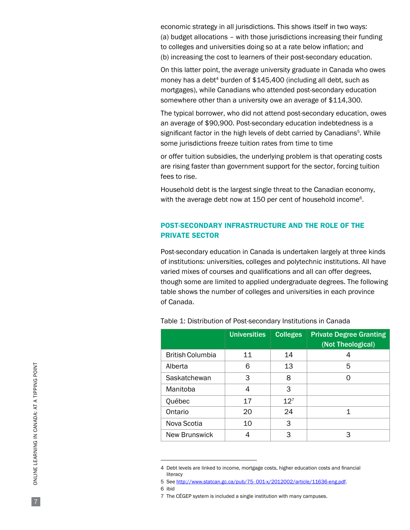economic strategy in all jurisdictions. This shows itself in two ways: (a) budget allocations – with those jurisdictions increasing their funding to colleges and universities doing so at a rate below inflation; and (b) increasing the cost to learners of their post-secondary education.

On this latter point, the average university graduate in Canada who owes money has a debt<sup>4</sup> burden of  $$145,400$  (including all debt, such as mortgages), while Canadians who attended post-secondary education somewhere other than a university owe an average of \$114,300.

The typical borrower, who did not attend post-secondary education, owes an average of \$90,900. Post-secondary education indebtedness is a significant factor in the high levels of debt carried by Canadians<sup>5</sup>. While some jurisdictions freeze tuition rates from time to time

or offer tuition subsidies, the underlying problem is that operating costs are rising faster than government support for the sector, forcing tuition fees to rise.

Household debt is the largest single threat to the Canadian economy, with the average debt now at 150 per cent of household income<sup>6</sup>.

## POST-SECONDARY INFRASTRUCTURE AND THE ROLE OF THE PRIVATE SECTOR

Post-secondary education in Canada is undertaken largely at three kinds of institutions: universities, colleges and polytechnic institutions. All have varied mixes of courses and qualifications and all can offer degrees, though some are limited to applied undergraduate degrees. The following table shows the number of colleges and universities in each province of Canada.

|                         | <b>Universities</b> | <b>Colleges</b> | <b>Private Degree Granting</b><br>(Not Theological) |
|-------------------------|---------------------|-----------------|-----------------------------------------------------|
| <b>British Columbia</b> | 11                  | 14              | 4                                                   |
| Alberta                 | 6                   | 13              | 5                                                   |
| Saskatchewan            | 3                   | 8               |                                                     |
| Manitoba                | 4                   | 3               |                                                     |
| Québec                  | 17                  | $12^{7}$        |                                                     |
| Ontario                 | 20                  | 24              | 1                                                   |
| Nova Scotia             | 10                  | 3               |                                                     |
| <b>New Brunswick</b>    | 4                   | 3               | З                                                   |

Table 1: Distribution of Post-secondary Institutions in Canada

<sup>4</sup> Debt levels are linked to income, mortgage costs, higher education costs and financial literacy

<sup>5</sup> See [http://www.statcan.gc.ca/pub/75- 001-x/2012002/article/11636-eng.pdf.](http://www.statcan.gc.ca/pub/75- 001-x/2012002/article/11636-eng.pdf)

<sup>6</sup> ibid

<sup>7</sup> The CÉGEP system is included a single institution with many campuses.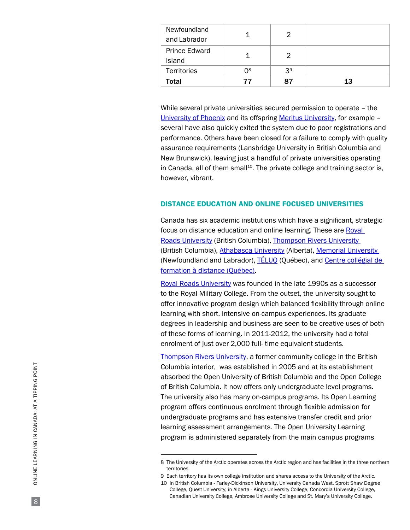| Newfoundland<br>and Labrador   |                |                |    |
|--------------------------------|----------------|----------------|----|
| <b>Prince Edward</b><br>Island |                | 2              |    |
| <b>Territories</b>             | 0 <sup>8</sup> | 3 <sup>9</sup> |    |
| Total                          | 77             | 87             | 13 |

While several private universities secured permission to operate – the [University of Phoenix](http://www.phoenix.edu/) and its offspring [Meritus University,](http://www.meritusu.ca/) for example several have also quickly exited the system due to poor registrations and performance. Others have been closed for a failure to comply with quality assurance requirements (Lansbridge University in British Columbia and New Brunswick), leaving just a handful of private universities operating in Canada, all of them small<sup>10</sup>. The private college and training sector is, however, vibrant.

## DISTANCE EDUCATION AND ONLINE FOCUSED UNIVERSITIES

Canada has six academic institutions which have a significant, strategic focus on distance education and online learning. These are Royal [Roads University \(](http://www.royalroads.ca/)British Columbia), [Thompson Rivers University](http://www.tru.ca/)  (British Columbia), [Athabasca University \(](http://www.athabascau.ca/)Alberta), Memorial University (Newfoundland and Labrador), TELUQ (Québec), and Centre collégial de [formation à distance](http://www.cegepadistance.ca/) (Québec).

[Royal Roads University w](http://www.royalroads.ca/)as founded in the late 1990s as a successor to the Royal Military College. From the outset, the university sought to offer innovative program design which balanced flexibility through online learning with short, intensive on-campus experiences. Its graduate degrees in leadership and business are seen to be creative uses of both of these forms of learning. In 2011-2012, the university had a total enrolment of just over 2,000 full- time equivalent students.

[Thompson Rivers University,](http://www.tru.ca/) a former community college in the British Columbia interior, was established in 2005 and at its establishment absorbed the Open University of British Columbia and the Open College of British Columbia. It now offers only undergraduate level programs. The university also has many on-campus programs. Its Open Learning program offers continuous enrolment through flexible admission for undergraduate programs and has extensive transfer credit and prior learning assessment arrangements. The Open University Learning program is administered separately from the main campus programs

<sup>8</sup> The University of the Arctic operates across the Arctic region and has facilities in the three northern territories.

<sup>9</sup> Each territory has its own college institution and shares access to the University of the Arctic.

<sup>10</sup> In British Columbia - Farley-Dickinson University, University Canada West, Sprott Shaw Degree College, Quest University; in Alberta - Kings University College, Concordia University College, Canadian University College, Ambrose University College and St. Mary's University College.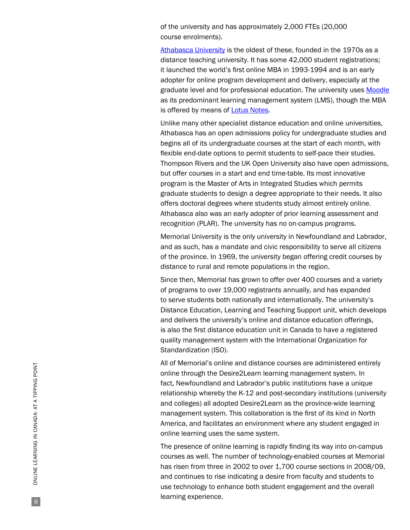of the university and has approximately 2,000 FTEs (20,000 course enrolments).

[Athabasca University](http://www.athabascau.ca/) is the oldest of these, founded in the 1970s as a distance teaching university. It has some 42,000 student registrations; it launched the world's first online MBA in 1993-1994 and is an early adopter for online program development and delivery, especially at the graduate level and for professional education. The university uses [Moodle](http://moodle.org/) as its predominant learning management system (LMS), though the MBA is offered by means of **Lotus Notes**.

Unlike many other specialist distance education and online universities, Athabasca has an open admissions policy for undergraduate studies and begins all of its undergraduate courses at the start of each month, with flexible end-date options to permit students to self-pace their studies. Thompson Rivers and the UK Open University also have open admissions, but offer courses in a start and end time-table. Its most innovative program is the Master of Arts in Integrated Studies which permits graduate students to design a degree appropriate to their needs. It also offers doctoral degrees where students study almost entirely online. Athabasca also was an early adopter of prior learning assessment and recognition (PLAR). The university has no on-campus programs.

Memorial University is the only university in Newfoundland and Labrador, and as such, has a mandate and civic responsibility to serve all citizens of the province. In 1969, the university began offering credit courses by distance to rural and remote populations in the region.

Since then, Memorial has grown to offer over 400 courses and a variety of programs to over 19,000 registrants annually, and has expanded to serve students both nationally and internationally. The university's Distance Education, Learning and Teaching Support unit, which develops and delivers the university's online and distance education offerings, is also the first distance education unit in Canada to have a registered quality management system with the International Organization for Standardization (ISO).

All of Memorial's online and distance courses are administered entirely online through the Desire2Learn learning management system. In fact, Newfoundland and Labrador's public institutions have a unique relationship whereby the K-12 and post-secondary institutions (university and colleges) all adopted Desire2Learn as the province-wide learning management system. This collaboration is the first of its kind in North America, and facilitates an environment where any student engaged in online learning uses the same system.

The presence of online learning is rapidly finding its way into on-campus courses as well. The number of technology-enabled courses at Memorial has risen from three in 2002 to over 1,700 course sections in 2008/09, and continues to rise indicating a desire from faculty and students to use technology to enhance both student engagement and the overall learning experience.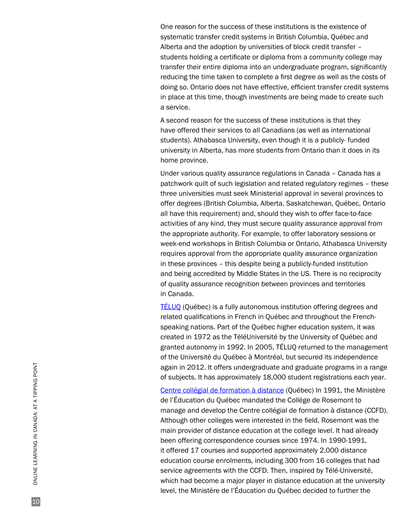One reason for the success of these institutions is the existence of systematic transfer credit systems in British Columbia, Québec and Alberta and the adoption by universities of block credit transfer – students holding a certificate or diploma from a community college may transfer their entire diploma into an undergraduate program, significantly reducing the time taken to complete a first degree as well as the costs of doing so. Ontario does not have effective, efficient transfer credit systems in place at this time, though investments are being made to create such a service.

A second reason for the success of these institutions is that they have offered their services to all Canadians (as well as international students). Athabasca University, even though it is a publicly- funded university in Alberta, has more students from Ontario than it does in its home province.

Under various quality assurance regulations in Canada – Canada has a patchwork quilt of such legislation and related regulatory regimes – these three universities must seek Ministerial approval in several provinces to offer degrees (British Columbia, Alberta, Saskatchewan, Québec, Ontario all have this requirement) and, should they wish to offer face-to-face activities of any kind, they must secure quality assurance approval from the appropriate authority. For example, to offer laboratory sessions or week-end workshops in British Columbia or Ontario, Athabasca University requires approval from the appropriate quality assurance organization in these provinces – this despite being a publicly-funded institution and being accredited by Middle States in the US. There is no reciprocity of quality assurance recognition between provinces and territories in Canada.

[TÉLUQ \(Québec\)](http://www.teluq.uquebec.ca/) is a fully autonomous institution offering degrees and related qualifications in French in Québec and throughout the Frenchspeaking nations. Part of the Québec higher education system, it was created in 1972 as the TéléUniversité by the University of Québec and granted autonomy in 1992. In 2005, TÉLUQ returned to the management of the Université du Québec à Montréal, but secured its independence again in 2012. It offers undergraduate and graduate programs in a range of subjects. It has approximately 18,000 student registrations each year.

[Centre collégial de formation](http://www.cegepadistance.ca/) à distance (Québec) In 1991, the Ministère de l'Éducation du Québec mandated the Collège de Rosemont to manage and develop the Centre collégial de formation à distance (CCFD). Although other colleges were interested in the field, Rosemont was the main provider of distance education at the college level. It had already been offering correspondence courses since 1974. In 1990-1991, it offered 17 courses and supported approximately 2,000 distance education course enrolments, including 300 from 16 colleges that had service agreements with the CCFD. Then, inspired by Télé-Université, which had become a major player in distance education at the university level, the Ministère de l'Éducation du Québec decided to further the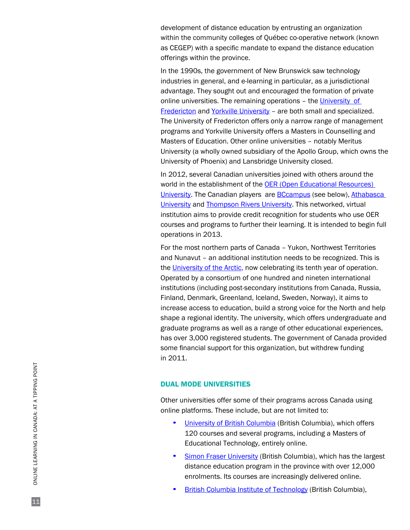development of distance education by entrusting an organization within the community colleges of Québec co-operative network (known as CEGEP) with a specific mandate to expand the distance education offerings within the province.

In the 1990s, the government of New Brunswick saw technology industries in general, and e-learning in particular, as a jurisdictional advantage. They sought out and encouraged the formation of private online universities. The remaining operations – the [University](http://www.universityfredericton.ca/) [of](http://www.universityfredericton.ca/)  [Fredericton a](http://www.universityfredericton.ca/)nd [Yorkville University](http://www.yorkvilleu.ca/) – are both small and specialized. The University of Fredericton offers only a narrow range of management programs and Yorkville University offers a Masters in Counselling and Masters of Education. Other online universities – notably Meritus University (a wholly owned subsidiary of the Apollo Group, which owns the University of Phoenix) and Lansbridge University closed.

In 2012, several Canadian universities joined with others around the world in the establishment of the **OER** (Open Educational Resources) [University](http://wikieducator.org/OER_university/Home). The Canadian players are [BCcampus](http://www.bccampus.ca/) (see below), [Athabasca](http://www.athabascau.ca/)  [University a](http://www.athabascau.ca/)nd [Thompson Rivers University](http://www.tru.ca/). This networked, virtual institution aims to provide credit recognition for students who use OER courses and programs to further their learning. It is intended to begin full operations in 2013.

For the most northern parts of Canada – Yukon, Northwest Territories and Nunavut – an additional institution needs to be recognized. This is the [University of the Arctic,](http://www.uarctic.org/Frontpage.aspx?m=3) now celebrating its tenth year of operation. Operated by a consortium of one hundred and nineten international institutions (including post-secondary institutions from Canada, Russia, Finland, Denmark, Greenland, Iceland, Sweden, Norway), it aims to increase access to education, build a strong voice for the North and help shape a regional identity. The university, which offers undergraduate and graduate programs as well as a range of other educational experiences, has over 3,000 registered students. The government of Canada provided some financial support for this organization, but withdrew funding in 2011.

## DUAL MODE UNIVERSITIES

Other universities offer some of their programs across Canada using online platforms. These include, but are not limited to:

- [University of British Columbia \(](http://www.ubc.ca/)British Columbia), which offers 120 courses and several programs, including a Masters of Educational Technology, entirely online.
- [Simon Fraser University](http://www.sfu.ca/) (British Columbia), which has the largest distance education program in the province with over 12,000 enrolments. Its courses are increasingly delivered online.
- **British Columbia Institute of Technology (British Columbia),**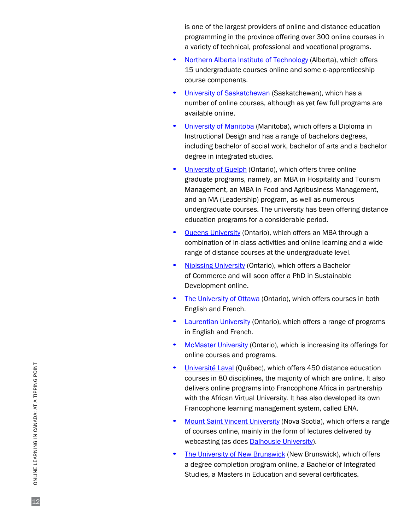is one of the largest providers of online and distance education programming in the province offering over 300 online courses in a variety of technical, professional and vocational programs.

- [Northern Alberta Institute of Technology](http://www.nait.ca/) (Alberta), which offers 15 undergraduate courses online and some e-apprenticeship course components.
- [University of Saskatchewan](http://www.usask.ca/) (Saskatchewan), which has a number of online courses, although as yet few full programs are available online.
- [University of Manitoba](http://www.umanitoba.ca/) (Manitoba), which offers a Diploma in Instructional Design and has a range of bachelors degrees, including bachelor of social work, bachelor of arts and a bachelor degree in integrated studies.
- [University of Guelph](http://www.uoguelph.ca/) (Ontario), which offers three online graduate programs, namely, an MBA in Hospitality and Tourism Management, an MBA in Food and Agribusiness Management, and an MA (Leadership) program, as well as numerous undergraduate courses. The university has been offering distance education programs for a considerable period.
- [Queens University \(](http://www.queensu.ca/)Ontario), which offers an MBA through a combination of in-class activities and online learning and a wide range of distance courses at the undergraduate level.
- [Nipissing University \(](http://www.nipissingu.ca/)Ontario), which offers a Bachelor of Commerce and will soon offer a PhD in Sustainable Development online.
- [The University of Ottawa \(](http://www.saea.uottawa.ca/cyber/index.php?lang=en)Ontario), which offers courses in both English and French.
- [Laurentian University \(](http://www.laurentian.ca/)Ontario), which offers a range of programs in English and French.
- **[McMaster University](http://www.mcmaster.ca/) (Ontario), which is increasing its offerings for** online courses and programs.
- [Université Laval](http://www.ulaval.ca/) (Québec), which offers 450 distance education courses in 80 disciplines, the majority of which are online. It also delivers online programs into Francophone Africa in partnership with the African Virtual University. It has also developed its own Francophone learning management system, called ENA.
- [Mount Saint Vincent University](http://www.msvu.ca/) (Nova Scotia), which offers a range of courses online, mainly in the form of lectures delivered by webcasting (as does **Dalhousie University**).
- The [University of New Brunswick \(](http://www.unb.ca/)New Brunswick), which offers a degree completion program online, a Bachelor of Integrated Studies, a Masters in Education and several certificates.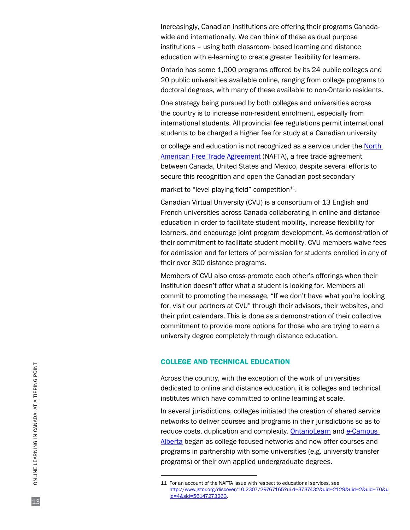Increasingly, Canadian institutions are offering their programs Canadawide and internationally. We can think of these as dual purpose institutions – using both classroom- based learning and distance education with e-learning to create greater flexibility for learners.

Ontario has some 1,000 programs offered by its 24 public colleges and 20 public universities available online, ranging from college programs to doctoral degrees, with many of these available to non-Ontario residents.

One strategy being pursued by both colleges and universities across the country is to increase non-resident enrolment, especially from international students. All provincial fee regulations permit international students to be charged a higher fee for study at a Canadian university

or college and education is not recognized as a service under the [North](http://www.nafta-sec-alena.org/)  [American Free Trade](http://www.nafta-sec-alena.org/) [Agreement](http://www.nafta-sec-alena.org/) (NAFTA), a free trade agreement between Canada, United States and Mexico, despite several efforts to secure this recognition and open the Canadian post-secondary

market to "level playing field" competition $11$ .

Canadian Virtual University (CVU) is a consortium of 13 English and French universities across Canada collaborating in online and distance education in order to facilitate student mobility, increase flexibility for learners, and encourage joint program development. As demonstration of their commitment to facilitate student mobility, CVU members waive fees for admission and for letters of permission for students enrolled in any of their over 300 distance programs.

Members of CVU also cross-promote each other's offerings when their institution doesn't offer what a student is looking for. Members all commit to promoting the message, "If we don't have what you're looking for, visit our partners at CVU" through their advisors, their websites, and their print calendars. This is done as a demonstration of their collective commitment to provide more options for those who are trying to earn a university degree completely through distance education.

## COLLEGE AND TECHNICAL EDUCATION

Across the country, with the exception of the work of universities dedicated to online and distance education, it is colleges and technical institutes which have committed to online learning at scale.

In several jurisdictions, colleges initiated the creation of shared service networks to deliver courses and programs in their jurisdictions so as to reduce costs, duplication and complexity. [OntarioLearn](http://www.ontariolearn.com/) and [e-Campus](http://www.ecampusalberta.ca/)  [Alberta b](http://www.ecampusalberta.ca/)egan as college-focused networks and now offer courses and programs in partnership with some universities (e.g. university transfer programs) or their own applied undergraduate degrees.

<sup>11</sup> For an account of the NAFTA issue with respect to educational services, see [http://www.jstor.org/discover/10.2307/29767165?ui d=3737432&uid=2129&uid=2&uid=70&u](http://www.jstor.org/discover/10.2307/29767165?ui d=3737432&uid=2129&uid=2&uid=70&uid=4&sid=56147273263) [id=4&sid=56147273263.](http://www.jstor.org/discover/10.2307/29767165?ui d=3737432&uid=2129&uid=2&uid=70&uid=4&sid=56147273263)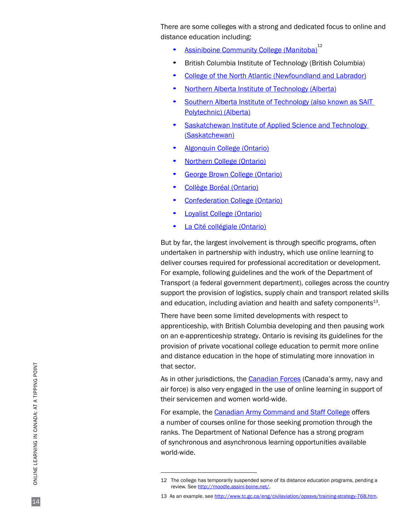There are some colleges with a strong and dedicated focus to online and distance education including:

- **[Assiniboine Community College \(](http://www.assiniboine.net/)Manitoba)**<sup>12</sup>
- British Columbia Institute of Technology (British Columbia)
- [College of the North Atlantic](http://dls.cna.nl.ca/index.shtml) (Newfoundland and Labrador)
- [Northern Alberta Institute of Technology](http://www.nait.ca/64107.htm) (Alberta)
- [Southern Alberta Institute of Technology](http://sait.ca/pages/cometosait/academic/additionalinfo/admissionsinfo/deinfo.shtml) (also known as SAIT Polytechnic) (Alberta)
- [Saskatchewan Institute of Applied Science and Technology](http://www.learn4good.com/distance_learn/canada_online_learning_college_diploma_certificate2.htm)  (Saskatchewan)
- [Algonquin College](http://www.algonquincollege.com/) (Ontario)
- [Northern College \(](http://www.northernc.on.ca/)Ontario)
- [George Brown College \(](http://www.georgebrown.ca/)Ontario)
- [Collège Boréal \(](http://www.collegeboreal.ca/)Ontario)
- [Confederation College](http://www.confederationc.on.ca/) (Ontario)
- **[Loyalist College \(](http://www.loyalistcollege.com/)Ontario)**
- [La Cité collégiale](http://www.lacitec.on.ca/) (Ontario)

But by far, the largest involvement is through specific programs, often undertaken in partnership with industry, which use online learning to deliver courses required for professional accreditation or development. For example, following guidelines and the work of the Department of Transport (a federal government department), colleges across the country support the provision of logistics, supply chain and transport related skills and education, including aviation and health and safety components<sup>13</sup>.

There have been some limited developments with respect to apprenticeship, with British Columbia developing and then pausing work on an e-apprenticeship strategy. Ontario is revising its guidelines for the provision of private vocational college education to permit more online and distance education in the hope of stimulating more innovation in that sector.

As in other jurisdictions, the [Canadian Forces \(](http://www.forces.gc.ca/site/home-accueil-eng.asp)Canada's army, navy and air force) is also very engaged in the use of online learning in support of their servicemen and women world-wide.

For example, the [Canadian Army Command and Staff College](http://armyapp.forces.gc.ca/cacsc-ccemac/default-eng.asp) offers a number of courses online for those seeking promotion through the ranks. The [Department of National Defence](http://www.forces.gc.ca/site/home-accueil-eng.asp) has a strong program of synchronous and asynchronous learning opportunities available world-wide.

<sup>12</sup> The college has temporarily suspended some of its distance education programs, pending a review. See<http://moodle.assini-boine.net/>.

<sup>13</sup> As an example, see http://www.tc.gc.ca/eng/civilaviation/opssys/training-strategy-768.htm.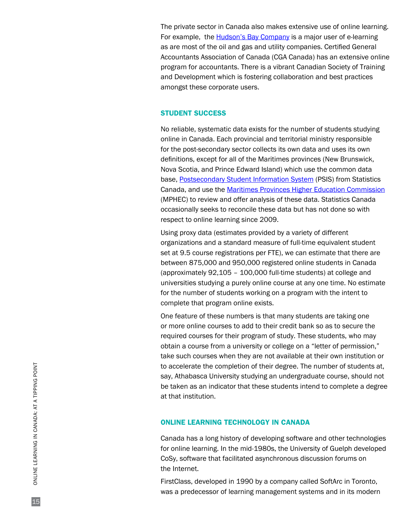The private sector in Canada also makes extensive use of online learning. For example, the [Hudson's Bay Company](http://www.hbc.com/) is a major user of e-learning as are most of the oil and gas and utility companies. [Certified General](http://www.cga-canada.org/)  [Accountants Association of Canada \(](http://www.cga-canada.org/)CGA Canada) has an extensive online program for accountants. There is a vibrant [Canadian Society of Training](http://www.cstd.ca/)  [and Development w](http://www.cstd.ca/)hich is fostering collaboration and best practices amongst these corporate users.

## STUDENT SUCCESS

No reliable, systematic data exists for the number of students studying online in Canada. Each provincial and territorial ministry responsible for the post-secondary sector collects its own data and uses its own definitions, except for all of the Maritimes provinces (New Brunswick, Nova Scotia, and Prince Edward Island) which use the common data base, Postsecondary Student Information System (PSIS) from Statistics Canada, and use the [Maritimes Provinces](http://www.mphec.ca/) [Higher Education Commission](http://www.mphec.ca/) (MPHEC) to review and offer analysis of these data. Statistics Canada occasionally seeks to reconcile these data but has not done so with respect to online learning since 2009.

Using proxy data (estimates provided by a variety of different organizations and a standard measure of full-time equivalent student set at 9.5 course registrations per FTE), we can estimate that there are between 875,000 and 950,000 registered online students in Canada (approximately 92,105 – 100,000 full-time students) at college and universities studying a purely online course at any one time. No estimate for the number of students working on a program with the intent to complete that program online exists.

One feature of these numbers is that many students are taking one or more online courses to add to their credit bank so as to secure the required courses for their program of study. These students, who may obtain a course from a university or college on a "letter of permission," take such courses when they are not available at their own institution or to accelerate the completion of their degree. The number of students at, say, Athabasca University studying an undergraduate course, should not be taken as an indicator that these students intend to complete a degree at that institution.

## ONLINE LEARNING TECHNOLOGY IN CANADA

Canada has a long history of developing software and other technologies for online learning. In the mid-1980s, the University of Guelph developed CoSy, software that facilitated asynchronous discussion forums on the Internet.

FirstClass, developed in 1990 by a company called SoftArc in Toronto, was a predecessor of learning management systems and in its modern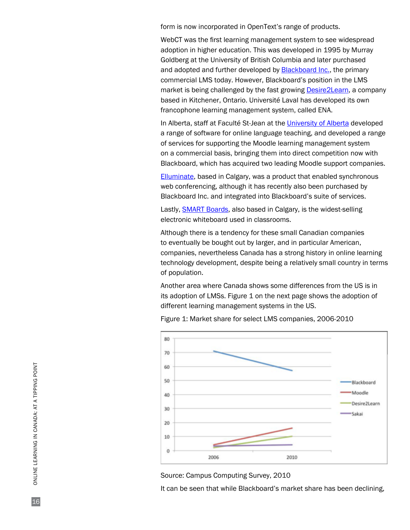form is now incorporated in OpenText's range of products.

WebCT was the first learning management system to see widespread adoption in higher education. This was developed in 1995 by Murray Goldberg at the University of British Columbia and later purchased and adopted and further developed by **Blackboard Inc.**, the primary commercial LMS today. However, Blackboard's position in the LMS market is being challenged by the fast growing **Desire2Learn**, a company based in Kitchener, Ontario. Université Laval has developed its own francophone learning management system, called ENA.

In Alberta, staff at Faculté St-Jean at the [University of Alberta](http://www.ualberta.ca/) developed a range of software for online language teaching, and developed a range of services for supporting the Moodle learning management system on a commercial basis, bringing them into direct competition now with Blackboard, which has acquired two leading Moodle support companies.

[Elluminate](http://www.elluminate.com/), based in Calgary, was a product that enabled synchronous web conferencing, although it has recently also been purchased by Blackboard Inc. and integrated into Blackboard's suite of services.

Lastly, **SMART Boards**, also based in Calgary, is the widest-selling electronic whiteboard used in classrooms.

Although there is a tendency for these small Canadian companies to eventually be bought out by larger, and in particular American, companies, nevertheless Canada has a strong history in online learning technology development, despite being a relatively small country in terms of population.

Another area where Canada shows some differences from the US is in its adoption of LMSs. Figure 1 on the next page shows the adoption of different learning management systems in the US.





Source: Campus Computing Survey, 2010

It can be seen that while Blackboard's market share has been declining,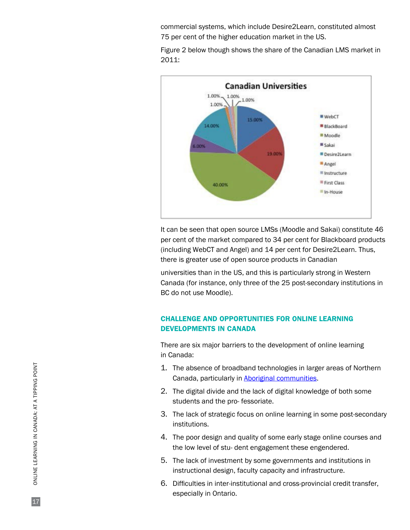commercial systems, which include Desire2Learn, constituted almost 75 per cent of the higher education market in the US.

Figure 2 below though shows the share of the Canadian LMS market in 2011:



It can be seen that open source LMSs (Moodle and Sakai) constitute 46 per cent of the market compared to 34 per cent for Blackboard products (including WebCT and Angel) and 14 per cent for Desire2Learn. Thus, there is greater use of open source products in Canadian

universities than in the US, and this is particularly strong in Western Canada (for instance, only three of the 25 post-secondary institutions in BC do not use Moodle).

# CHALLENGE AND OPPORTUNITIES FOR ONLINE LEARNING DEVELOPMENTS IN CANADA

There are six major barriers to the development of online learning in Canada:

- 1. The absence of broadband technologies in larger areas of Northern Canada, particularly in [Aboriginal communities](http://www.aboriginalcanada.gc.ca/acp/community/site.nsf/index_en.html).
- 2. The digital divide and the lack of digital knowledge of both some students and the pro- fessoriate.
- 3. The lack of strategic focus on online learning in some post-secondary institutions.
- 4. The poor design and quality of some early stage online courses and the low level of stu- dent engagement these engendered.
- 5. The lack of investment by some governments and institutions in instructional design, faculty capacity and infrastructure.
- 6. Difficulties in inter-institutional and cross-provincial credit transfer, especially in Ontario.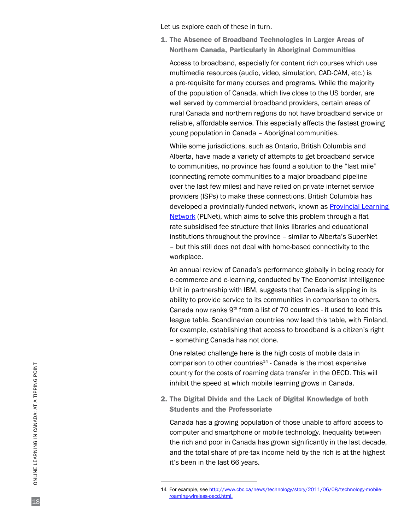Let us explore each of these in turn.

1. The Absence of Broadband Technologies in Larger Areas of Northern Canada, Particularly in Aboriginal Communities

Access to broadband, especially for content rich courses which use multimedia resources (audio, video, simulation, CAD-CAM, etc.) is a pre-requisite for many courses and programs. While the majority of the population of Canada, which live close to the US border, are well served by commercial broadband providers, certain areas of rural Canada and northern regions do not have broadband service or reliable, affordable service. This especially affects the fastest growing young population in Canada – Aboriginal communities.

While some jurisdictions, such as Ontario, British Columbia and Alberta, have made a variety of attempts to get broadband service to communities, no province has found a solution to the "last mile" (connecting remote communities to a major broadband pipeline over the last few miles) and have relied on private internet service providers (ISPs) to make these connections. British Columbia has developed a provincially-funded network, known as [Provincial Learning](http://www.bced.gov.bc.ca/plnet/)  [Network](http://www.bced.gov.bc.ca/plnet/) (PLNet), which aims to solve this problem through a flat rate subsidised fee structure that links libraries and educational institutions throughout the province – similar to [Alberta's](http://www.servicealberta.gov.ab.ca/AlbertaSuperNet.cfm) [SuperNet](http://www.servicealberta.gov.ab.ca/AlbertaSuperNet.cfm)  – but this still does not deal with home-based connectivity to the workplace.

An annual review of Canada's performance globally in being ready for e-commerce and e-learning, conducted by The Economist Intelligence Unit in partnership with IBM, suggests that Canada is slipping in its ability to provide service to its communities in comparison to others. Canada now ranks  $9<sup>th</sup>$  from a list of 70 countries - it used to lead this league table. Scandinavian countries now lead this table, with Finland, for example, establishing that access to broadband is a citizen's right – something Canada has not done.

One related challenge here is the high costs of mobile data in comparison to other countries $14$  - Canada is the most expensive country for the costs of roaming data transfer in the OECD. This will inhibit the speed at which mobile learning grows in Canada.

2. The Digital Divide and the Lack of Digital Knowledge of both Students and the Professoriate

Canada has a growing population of those unable to afford access to computer and smartphone or mobile technology. Inequality between the rich and poor in Canada has grown significantly in the last decade, and the total share of pre-tax income held by the rich is at the highest it's been in the last 66 years.

<sup>14</sup> For example, see [http://www.cbc.ca/news/technology/story/2011/06/08/technology-mobile](http://www.cbc.ca/news/technology/story/2011/06/08/technology-mobile-roaming-wireless-oecd.html)[roaming-wireless-oecd.html.](http://www.cbc.ca/news/technology/story/2011/06/08/technology-mobile-roaming-wireless-oecd.html)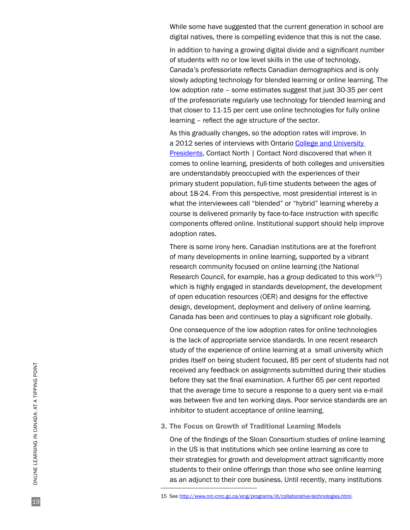While some have suggested that the current generation in school are digital natives, there is compelling evidence that this is not the case.

In addition to having a growing digital divide and a significant number of students with no or low level skills in the use of technology, Canada's professoriate reflects Canadian demographics and is only slowly adopting technology for blended learning or online learning. The low adoption rate – some estimates suggest that just 30-35 per cent of the professoriate regularly use technology for blended learning and that closer to 11-15 per cent use online technologies for fully online learning – reflect the age structure of the sector.

As this gradually changes, so the adoption rates will improve. In a 2012 series of interviews with Ontario [College and University](http://www.contactnorth.ca/trends-directions/perspectives-online-learning-ontario-college-and-university-presidents) [Presidents,](http://www.contactnorth.ca/trends-directions/perspectives-online-learning-ontario-college-and-university-presidents) Contact North | Contact Nord discovered that when it comes to online learning, presidents of both colleges and universities are understandably preoccupied with the experiences of their primary student population, full-time students between the ages of about 18-24. From this perspective, most presidential interest is in what the interviewees call "blended" or "hybrid" learning whereby a course is delivered primarily by face-to-face instruction with specific components offered online. Institutional support should help improve adoption rates.

There is some irony here. Canadian institutions are at the forefront of many developments in online learning, supported by a vibrant research community focused on online learning (the National Research Council, for example, has a group dedicated to this work $15$ ) which is highly engaged in standards development, the development of open education resources (OER) and designs for the effective design, development, deployment and delivery of online learning. Canada has been and continues to play a significant role globally.

One consequence of the low adoption rates for online technologies is the lack of appropriate service standards. In one recent research study of the experience of online learning at a small university which prides itself on being student focused, 85 per cent of students had not received any feedback on assignments submitted during their studies before they sat the final examination. A further 65 per cent reported that the average time to secure a response to a query sent via e-mail was between five and ten working days. Poor service standards are an inhibitor to student acceptance of online learning.

3. The Focus on Growth of Traditional Learning Models

One of the findings of the Sloan Consortium studies of online learning in the US is that institutions which see online learning as core to their strategies for growth and development attract significantly more students to their online offerings than those who see online learning as an adjunct to their core business. Until recently, many institutions

<sup>15</sup> See [http://www.nrc-cnrc.gc.ca/eng/programs/iit/collaborative-technologies.html.](http://www.nrc-cnrc.gc.ca/eng/programs/iit/collaborative-technologies.html)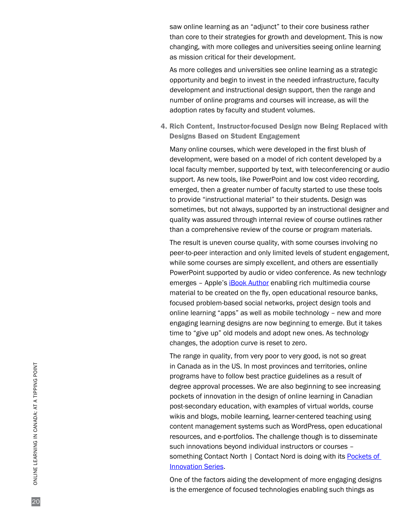saw online learning as an "adjunct" to their core business rather than core to their strategies for growth and development. This is now changing, with more colleges and universities seeing online learning as mission critical for their development.

As more colleges and universities see online learning as a strategic opportunity and begin to invest in the needed infrastructure, faculty development and instructional design support, then the range and number of online programs and courses will increase, as will the adoption rates by faculty and student volumes.

4. Rich Content, Instructor-focused Design now Being Replaced with Designs Based on Student Engagement

Many online courses, which were developed in the first blush of development, were based on a model of rich content developed by a local faculty member, supported by text, with teleconferencing or audio support. As new tools, like PowerPoint and low cost video recording, emerged, then a greater number of faculty started to use these tools to provide "instructional material" to their students. Design was sometimes, but not always, supported by an instructional designer and quality was assured through internal review of course outlines rather than a comprehensive review of the course or program materials.

The result is uneven course quality, with some courses involving no peer-to-peer interaction and only limited levels of student engagement, while some courses are simply excellent, and others are essentially PowerPoint supported by audio or video conference. As new technlogy emerges – Apple's [iBook Author](http://www.apple.com/ibooks-author/) enabling rich multimedia course material to be created on the fly, open educational resource banks, focused problem-based social networks, project design tools and online learning "apps" as well as mobile technology – new and more engaging learning designs are now beginning to emerge. But it takes time to "give up" old models and adopt new ones. As technology changes, the adoption curve is reset to zero.

The range in quality, from very poor to very good, is not so great in Canada as in the US. In most provinces and territories, online programs have to follow best practice guidelines as a result of degree approval processes. We are also beginning to see increasing pockets of innovation in the design of online learning in Canadian post-secondary education, with examples of virtual worlds, course wikis and blogs, mobile learning, learner-centered teaching using content management systems such as WordPress, open educational resources, and e-portfolios. The challenge though is to disseminate such innovations beyond individual instructors or courses – something Contact North | Contact Nord is doing with its Pockets of [Innovation Series.](http://www.contactnorth.ca/innovation/pockets-innovation)

One of the factors aiding the development of more engaging designs is the emergence of focused technologies enabling such things as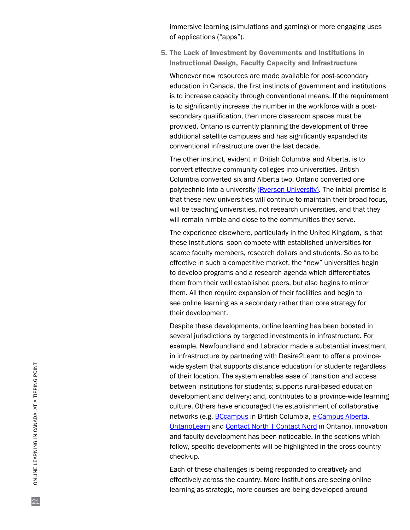immersive learning (simulations and gaming) or more engaging uses of applications ("apps").

5. The Lack of Investment by Governments and Institutions in Instructional Design, Faculty Capacity and Infrastructure

Whenever new resources are made available for post-secondary education in Canada, the first instincts of government and institutions is to increase capacity through conventional means. If the requirement is to significantly increase the number in the workforce with a postsecondary qualification, then more classroom spaces must be provided. Ontario is currently planning the development of three additional satellite campuses and has significantly expanded its conventional infrastructure over the last decade.

The other instinct, evident in British Columbia and Alberta, is to convert effective community colleges into universities. British Columbia converted six and Alberta two. Ontario converted one polytechnic into a university ([Ryerson University](http://www.ryerson.ca/)). The initial premise is that these new universities will continue to maintain their broad focus, will be teaching universities, not research universities, and that they will remain nimble and close to the communities they serve.

The experience elsewhere, particularly in the United Kingdom, is that these institutions soon compete with established universities for scarce faculty members, research dollars and students. So as to be effective in such a competitive market, the "new" universities begin to develop programs and a research agenda which differentiates them from their well established peers, but also begins to mirror them. All then require expansion of their facilities and begin to see online learning as a secondary rather than core strategy for their development.

Despite these developments, online learning has been boosted in several jurisdictions by targeted investments in infrastructure. For example, Newfoundland and Labrador made a substantial investment in infrastructure by partnering with Desire2Learn to offer a provincewide system that supports distance education for students regardless of their location. The system enables ease of transition and access between institutions for students; supports rural-based education development and delivery; and, contributes to a province-wide learning culture. Others have encouraged the establishment of collaborative networks (e.g. **BCcampus** in British Columbia, [e-Campus Alberta,](http://www.ecampusalberta.ca/) [OntarioLearn a](http://www.ontariolearn.com/)nd [Contact North](http://www.contactnorth.ca/) | [Contact Nord](http://www.contactnord.ca/) in Ontario), innovation and faculty development has been noticeable. In the sections which follow, specific developments will be highlighted in the cross-country check-up.

Each of these challenges is being responded to creatively and effectively across the country. More institutions are seeing online learning as strategic, more courses are being developed around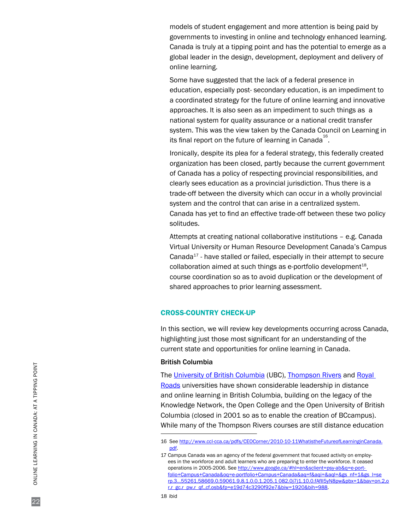models of student engagement and more attention is being paid by governments to investing in online and technology enhanced learning. Canada is truly at a tipping point and has the potential to emerge as a global leader in the design, development, deployment and delivery of online learning.

Some have suggested that the lack of a federal presence in education, especially post- secondary education, is an impediment to a coordinated strategy for the future of online learning and innovative approaches. It is also seen as an impediment to such things as a national system for quality assurance or a national credit transfer system. This was the view taken by the Canada Council on Learning in its final report on the future of learning in Canada $^{^{16}}$ .

Ironically, despite its plea for a federal strategy, this federally created organization has been closed, partly because the current government of Canada has a policy of respecting provincial responsibilities, and clearly sees education as a provincial jurisdiction. Thus there is a trade-off between the diversity which can occur in a wholly provincial system and the control that can arise in a centralized system. Canada has yet to find an effective trade-off between these two policy solitudes.

Attempts at creating national collaborative institutions – e.g. Canada Virtual University or Human Resource Development Canada's Campus Canada $17$  - have stalled or failed, especially in their attempt to secure collaboration aimed at such things as e-portfolio development $18$ , course coordination so as to avoid duplication or the development of shared approaches to prior learning assessment.

## CROSS-COUNTRY CHECK-UP

In this section, we will review key developments occurring across Canada, highlighting just those most significant for an understanding of the current state and opportunities for online learning in Canada.

## British Columbia

The [University of British Columbia](http://ctlt.ubc.ca/distance-learning/) (UBC), [Thompson Rivers a](http://www.tru.ca/)nd [Royal](http://www.royalroads.ca/)  [Roads](http://www.royalroads.ca/) universities have shown considerable leadership in distance and online learning in British Columbia, building on the legacy of the Knowledge Network, the Open College and the Open University of British Columbia (closed in 2001 so as to enable the creation of BCcampus). While many of the Thompson Rivers courses are still distance education

<sup>16</sup> See [http://www.ccl-cca.ca/pdfs/CEOCorner/2010-10-11WhatistheFutureofLearninginCanada.](http://www.ccl-cca.ca/pdfs/CEOCorner/2010-10-11WhatistheFutureofLearninginCanada.pdf) [pdf.](http://www.ccl-cca.ca/pdfs/CEOCorner/2010-10-11WhatistheFutureofLearninginCanada.pdf)

<sup>17</sup> Campus Canada was an agency of the federal government that focused activity on employees in the workforce and adult learners who are preparing to enter the workforce. It ceased operations in 2005-2006. See http://www.google.ca/#hl=en&sclient=psy-ab&q=e-portfolio+Campus+Canada&oq=e-portfolio+Campus+Canada&aq=f&aqi=&aql=&gs\_nf=1&gs\_l=se rp.3...55261.58669.0.59061.9.8.1.0.0.1.205.1 082.0j7j1.10.0.fAfII5yN8pw&pbx=1&bav=on.2,o r.r\_gc.r\_pw.r\_qf.,cf.osb&fp=e19d74c3290f92e7&biw=1920&bih=988.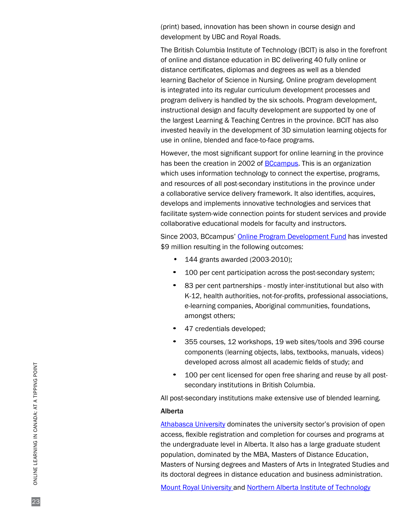(print) based, innovation has been shown in course design and development by UBC and Royal Roads.

The British Columbia Institute of Technology (BCIT) is also in the forefront of online and distance education in BC delivering 40 fully online or distance certificates, diplomas and degrees as well as a blended learning Bachelor of Science in Nursing. Online program development is integrated into its regular curriculum development processes and program delivery is handled by the six schools. Program development, instructional design and faculty development are supported by one of the largest Learning & Teaching Centres in the province. BCIT has also invested heavily in the development of 3D simulation learning objects for use in online, blended and face-to-face programs.

However, the most significant support for online learning in the province has been the creation in 2002 of [BCcampus.](http://www.bccampus.ca/) This is an organization which uses information technology to connect the expertise, programs, and resources of all post-secondary institutions in the province under a collaborative service delivery framework. It also identifies, acquires, develops and implements innovative technologies and services that facilitate system-wide connection points for student services and provide collaborative educational models for faculty and instructors.

Since 2003, BCcampus' [Online Program Development Fund](http://www.bccampus.ca/online-program-development-fund-opdf-2/) has invested \$9 million resulting in the following outcomes:

- 144 grants awarded (2003-2010);
- 100 per cent participation across the post-secondary system;
- 83 per cent partnerships mostly inter-institutional but also with K-12, health authorities, not-for-profits, professional associations, e-learning companies, Aboriginal communities, foundations, amongst others;
- 47 credentials developed;
- 355 courses, 12 workshops, 19 web sites/tools and 396 course components (learning objects, labs, textbooks, manuals, videos) developed across almost all academic fields of study; and
- 100 per cent licensed for open free sharing and reuse by all postsecondary institutions in British Columbia.

All post-secondary institutions make extensive use of blended learning.

## Alberta

[Athabasca University](http://www.athabascau.ca/) dominates the university sector's provision of open access, flexible registration and completion for courses and programs at the undergraduate level in Alberta. It also has a large graduate student population, dominated by the MBA, Masters of Distance Education, Masters of Nursing degrees and Masters of Arts in Integrated Studies and its doctoral degrees in distance education and business administration.

[Mount Royal University](http://www.mtroyal.ca/programscourses/continuingeducation/elearning/index.htm) and Northern Alberta Institute of Technology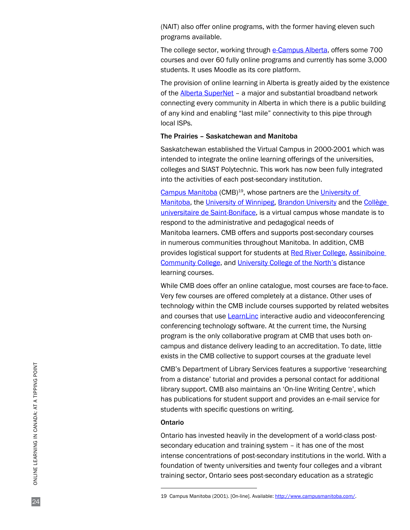[\(NAIT](http://www.nait.ca/64107.htm)) also offer online programs, with the former having eleven such programs available.

The college sector, working through [e-Campus Alberta](http://www.ecampusalberta.ca/), offers some 700 courses and over 60 fully online programs and currently has some 3,000 students. It uses [Moodle a](http://www.moodle.org/)s its core platform.

The provision of online learning in Alberta is greatly aided by the existence of the [Alberta SuperNet –](http://www.servicealberta.gov.ab.ca/albertasupernet.cfm) a major and substantial broadband network connecting every community in Alberta in which there is a public building of any kind and enabling "last mile" connectivity to this pipe through local ISPs.

## The Prairies – Saskatchewan and Manitoba

Saskatchewan established the Virtual Campus in 2000-2001 which was intended to integrate the online learning offerings of the universities, colleges and SIAST Polytechnic. This work has now been fully integrated into the activities of each post-secondary institution.

[Campus Manitoba \(](http://www.campusmanitoba.com/)CMB)19, whose partners are the [University of](http://www.umanitoba.ca/) [Manitoba](http://www.umanitoba.ca/), the [University of Winnipeg,](http://www.uwinnipeg.ca/) [Brandon University a](http://www.brandonu.ca/)nd the [Collège](http://www.ustboniface.mb.ca/)  [universitaire de Saint-Boniface](http://www.ustboniface.mb.ca/), is a virtual campus whose mandate is to respond to the administrative and pedagogical needs of Manitoba learners. CMB offers and supports post-secondary courses in numerous communities throughout Manitoba. In addition, CMB provides logistical support for students at [Red River](http://www.rrc.mb.ca/) [College,](http://www.rrc.mb.ca/) [Assiniboine](http://www.assiniboine.net/)  [Community College](http://www.assiniboine.net/), and [University College of the North's d](http://www.ucn.ca/)istance learning courses.

While CMB does offer an online catalogue, most courses are face-to-face. Very few courses are offered completely at a distance. Other uses of technology within the CMB include courses supported by related websites and courses that use [LearnLinc i](http://www.onlinecbt.com/LearnLinc.htm)nteractive audio and videoconferencing conferencing technology software. At the current time, the Nursing program is the only collaborative program at CMB that uses both oncampus and distance delivery leading to an accreditation. To date, little exists in the CMB collective to support courses at the graduate level

CMB's Department of Library Services features a supportive 'researching from a distance' tutorial and provides a personal contact for additional library support. CMB also maintains an 'On-line Writing Centre', which has publications for student support and provides an e-mail service for students with specific questions on writing.

## Ontario

Ontario has invested heavily in the development of a world-class postsecondary education and training system – it has one of the most intense concentrations of post-secondary institutions in the world. With a foundation of twenty universities and twenty four colleges and a vibrant training sector, Ontario sees post-secondary education as a strategic

<sup>19</sup> Campus Manitoba (2001). [On-line]. Available: [http://www.campusmanitoba.com/.](http://www.campusmanitoba.com/)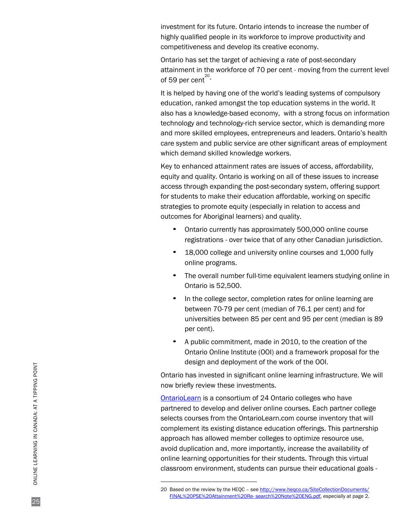investment for its future. Ontario intends to increase the number of highly qualified people in its workforce to improve productivity and competitiveness and develop its creative economy.

Ontario has set the target of achieving a rate of post-secondary attainment in the workforce of 70 per cent - moving from the current level of 59 per cent<sup>20</sup>.

It is helped by having one of the world's leading systems of compulsory education, ranked amongst the top education systems in the world. It also has a knowledge-based economy, with a strong focus on information technology and technology-rich service sector, which is demanding more and more skilled employees, entrepreneurs and leaders. Ontario's health care system and public service are other significant areas of employment which demand skilled knowledge workers.

Key to enhanced attainment rates are issues of access, affordability, equity and quality. Ontario is working on all of these issues to increase access through expanding the post-secondary system, offering support for students to make their education affordable, working on specific strategies to promote equity (especially in relation to access and outcomes for Aboriginal learners) and quality.

- Ontario currently has approximately 500,000 online course registrations - over twice that of any other Canadian jurisdiction.
- 18,000 college and university online courses and 1,000 fully online programs.
- The overall number full-time equivalent learners studying online in Ontario is 52,500.
- In the college sector, completion rates for online learning are between 70-79 per cent (median of 76.1 per cent) and for universities between 85 per cent and 95 per cent (median is 89 per cent).
- A public commitment, made in 2010, to the creation of the Ontario Online Institute (OOI) and a framework proposal for the design and deployment of the work of the OOI.

Ontario has invested in significant online learning infrastructure. We will now briefly review these investments.

[OntarioLearn](http://www.ontariolearn.com/) is a consortium of 24 Ontario colleges who have partnered to develop and deliver online courses. Each partner college selects courses from the OntarioLearn.com course inventory that will complement its existing distance education offerings. This partnership approach has allowed member colleges to optimize resource use, avoid duplication and, more importantly, increase the availability of online learning opportunities for their students. Through this virtual classroom environment, students can pursue their educational goals -

<sup>20</sup> Based on the review by the HEQC - see [http://www.heqco.ca/SiteCollectionDocuments/](http://www.heqco.ca/SiteCollectionDocuments/FINAL%20PSE%20Attainment%20Re-) [FINAL%20PSE%20Attainment%20Re-](http://www.heqco.ca/SiteCollectionDocuments/FINAL%20PSE%20Attainment%20Re-) search%20Note%20ENG.pdf, especially at page 2.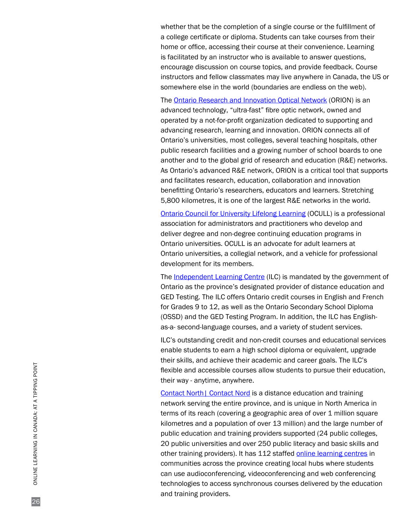whether that be the completion of a single course or the fulfillment of a college certificate or diploma. Students can take courses from their home or office, accessing their course at their convenience. Learning is facilitated by an instructor who is available to answer questions, encourage discussion on course topics, and provide feedback. Course instructors and fellow classmates may live anywhere in Canada, the US or somewhere else in the world (boundaries are endless on the web).

The [Ontario Research and Innovation Optical Network](http://www.orion.on.ca/) (ORION) is an advanced technology, "ultra-fast" fibre optic network, owned and operated by a not-for-profit organization dedicated to supporting and advancing research, learning and innovation. ORION connects all of Ontario's universities, most colleges, several teaching hospitals, other public research facilities and a growing number of school boards to one another and to the global grid of research and education (R&E) networks. As Ontario's advanced R&E network, ORION is a critical tool that supports and facilitates research, education, collaboration and innovation benefitting Ontario's researchers, educators and learners. Stretching 5,800 kilometres, it is one of the largest R&E networks in the world.

[Ontario Council for University Lifelong Learning](http://www.ocull.ca/) (OCULL) is a professional association for administrators and practitioners who develop and deliver degree and non-degree continuing education programs in Ontario universities. OCULL is an advocate for adult learners at Ontario universities, a collegial network, and a vehicle for professional development for its members.

The [Independent Learning Centre](http://www.ilc.org/) (ILC) is mandated by the government of Ontario as the province's designated provider of distance education and GED Testing. The ILC offers Ontario credit courses in English and French for Grades 9 to 12, as well as the Ontario Secondary School Diploma (OSSD) and the GED Testing Program. In addition, the ILC has Englishas-a- second-language courses, and a variety of student services.

ILC's outstanding credit and non-credit courses and educational services enable students to earn a high school diploma or equivalent, upgrade their skills, and achieve their academic and career goals. The ILC's flexible and accessible courses allow students to pursue their education, their way - anytime, anywhere.

[Contact North| Contact Nord](http://www.contactnorth.ca/) is a distance education and training network serving the entire province, and is unique in North America in terms of its reach (covering a geographic area of over 1 million square kilometres and a population of over 13 million) and the large number of public education and training providers supported (24 public colleges, 20 public universities and over 250 public literacy and basic skills and other training providers). It has 112 staffed [online learning centres i](http://studyonline.ca/student-services/access-centres)n communities across the province creating local hubs where students can use audioconferencing, videoconferencing and web conferencing technologies to access synchronous courses delivered by the education and training providers.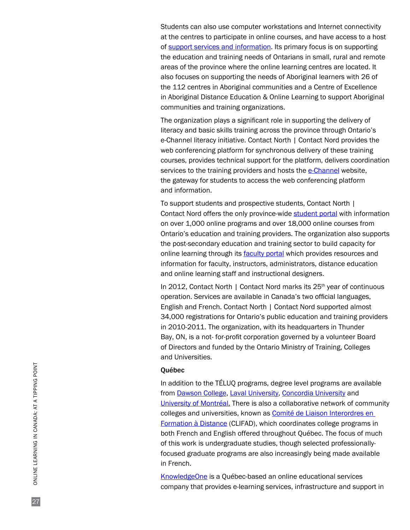Students can also use computer workstations and Internet connectivity at the centres to participate in online courses, and have access to a host of [support services and information.](http://studyonline.ca/student-resources) Its primary focus is on supporting the education and training needs of Ontarians in small, rural and remote areas of the province where the online learning centres are located. It also focuses on supporting the needs of Aboriginal learners with 26 of the 112 centres in Aboriginal communities and a Centre of Excellence in Aboriginal Distance Education & Online Learning to support Aboriginal communities and training organizations.

The organization plays a significant role in supporting the delivery of literacy and basic skills training across the province through Ontario's e-Channel literacy initiative. Contact North | Contact Nord provides the web conferencing platform for synchronous delivery of these training courses, provides technical support for the platform, delivers coordination services to the training providers and hosts the [e-Channel](http://www.e-channel.ca/) website, the gateway for students to access the web conferencing platform and information.

To support students and prospective students, Contact North | Contact Nord offers the only province-wide [student portal w](http://www.studyonline.ca/)ith information on over 1,000 online programs and over 18,000 online courses from Ontario's education and training providers. The organization also supports the post-secondary education and training sector to build capacity for online learning through its [faculty portal](http://www.contactnorth.ca/home) which provides resources and information for faculty, instructors, administrators, distance education and online learning staff and instructional designers.

In 2012, Contact North | Contact Nord marks its 25<sup>th</sup> year of continuous operation. Services are available in Canada's two official languages, English and French. Contact North | Contact Nord supported almost 34,000 registrations for Ontario's public education and training providers in 2010-2011. The organization, with its headquarters in Thunder Bay, ON, is a not- for-profit corporation governed by a volunteer Board of Directors and funded by the Ontario Ministry of Training, Colleges and Universities.

#### Québec

In addition to the TÉLUQ programs, degree level programs are available from [Dawson College](http://www.dawsoncollege.qc.ca/), [Laval University,](http://www.ulaval.ca/) [Concordia University a](http://www.concordia.ca/)nd [University of Montréal](http://www.umontreal.ca/english/). There is also a collaborative network of community colleges and universities, known as [Comité de Liaison Interordres en](http://www.clifad.qc.ca/) [Formation à Distance](http://www.clifad.qc.ca/) (CLIFAD), which coordinates college programs in both French and English offered throughout Québec. The focus of much of this work is undergraduate studies, though selected professionallyfocused graduate programs are also increasingly being made available in French.

[KnowledgeOne i](http://www.knowledgeone.ca/k1/index.aspx)s a Québec-based an online educational services company that provides e-learning services, infrastructure and support in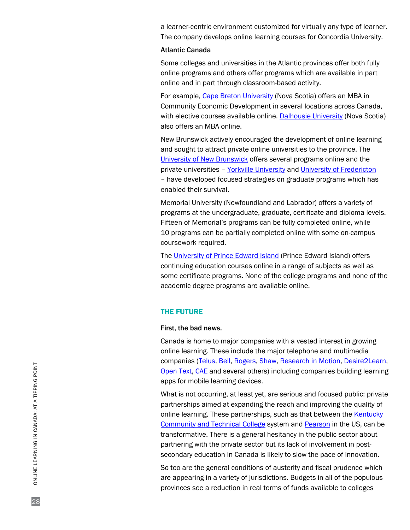a learner-centric environment customized for virtually any type of learner. The company develops online learning courses for Concordia University.

## Atlantic Canada

Some colleges and universities in the Atlantic provinces offer both fully online programs and others offer programs which are available in part online and in part through classroom-based activity.

For example, [Cape Breton University \(](http://www.cbu.ca/)Nova Scotia) offers an MBA in Community Economic Development in several locations across Canada, with elective courses available online. [Dalhousie University \(](http://www.dal.ca/)Nova Scotia) also offers an MBA online.

New Brunswick actively encouraged the development of online learning and sought to attract private online universities to the province. The [University of New Brunswick](http://www.unb.ca/) offers several programs online and the private universities – [Yorkville University a](http://www.yorkvilleu.ca/)nd [University of Fredericton](http://www.universityfredericton.ca/) – have developed focused strategies on graduate programs which has enabled their survival.

Memorial University (Newfoundland and Labrador) offers a variety of programs at the undergraduate, graduate, certificate and diploma levels. Fifteen of Memorial's programs can be fully completed online, while 10 programs can be partially completed online with some on-campus coursework required.

The [University of Prince Edward Island](http://www.upei.ca/) (Prince Edward Island) offers continuing education courses online in a range of subjects as well as some certificate programs. None of the college programs and none of the academic degree programs are available online.

#### THE FUTURE

#### First, the bad news.

Canada is home to major companies with a vested interest in growing online learning. These include the major telephone and multimedia companies ([Telus](http://www.telus.com/), [Bell](http://www.bell.ca/), [Rogers](http://www.rogers.com/), [Shaw,](http://www.shaw.ca/) [Research in Motion,](http://www.rim.net/) [Desire2Learn,](http://www.desire2learn.com/) [Open Text](http://www.opentext.com/), [CAE a](http://www.cae.com/)nd several others) including companies building learning apps for mobile learning devices.

What is not occurring, at least yet, are serious and focused public: private partnerships aimed at expanding the reach and improving the quality of online learning. These partnerships, such as that between the Kentucky [Community and Technical College](http://www.kctcs.edu/) system and [Pearson](http://www.pearson.com/) in the US, can be transformative. There is a general hesitancy in the public sector about partnering with the private sector but its lack of involvement in postsecondary education in Canada is likely to slow the pace of innovation.

So too are the general conditions of austerity and fiscal prudence which are appearing in a variety of jurisdictions. Budgets in all of the populous provinces see a reduction in real terms of funds available to colleges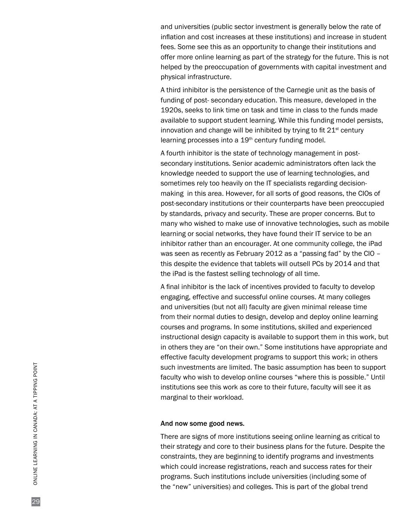and universities (public sector investment is generally below the rate of inflation and cost increases at these institutions) and increase in student fees. Some see this as an opportunity to change their institutions and offer more online learning as part of the strategy for the future. This is not helped by the preoccupation of governments with capital investment and physical infrastructure.

A third inhibitor is the persistence of the Carnegie unit as the basis of funding of post- secondary education. This measure, developed in the 1920s, seeks to link time on task and time in class to the funds made available to support student learning. While this funding model persists, innovation and change will be inhibited by trying to fit  $21<sup>st</sup>$  century learning processes into a 19<sup>th</sup> century funding model.

A fourth inhibitor is the state of technology management in postsecondary institutions. Senior academic administrators often lack the knowledge needed to support the use of learning technologies, and sometimes rely too heavily on the IT specialists regarding decisionmaking in this area. However, for all sorts of good reasons, the CIOs of post-secondary institutions or their counterparts have been preoccupied by standards, privacy and security. These are proper concerns. But to many who wished to make use of innovative technologies, such as mobile learning or social networks, they have found their IT service to be an inhibitor rather than an encourager. At one community college, the iPad was seen as recently as February 2012 as a "passing fad" by the CIO – this despite the evidence that tablets will outsell PCs by 2014 and that the iPad is the fastest selling technology of all time.

A final inhibitor is the lack of incentives provided to faculty to develop engaging, effective and successful online courses. At many colleges and universities (but not all) faculty are given minimal release time from their normal duties to design, develop and deploy online learning courses and programs. In some institutions, skilled and experienced instructional design capacity is available to support them in this work, but in others they are "on their own." Some institutions have appropriate and effective faculty development programs to support this work; in others such investments are limited. The basic assumption has been to support faculty who wish to develop online courses "where this is possible." Until institutions see this work as core to their future, faculty will see it as marginal to their workload.

#### And now some good news.

There are signs of more institutions seeing online learning as critical to their strategy and core to their business plans for the future. Despite the constraints, they are beginning to identify programs and investments which could increase registrations, reach and success rates for their programs. Such institutions include universities (including some of the "new" universities) and colleges. This is part of the global trend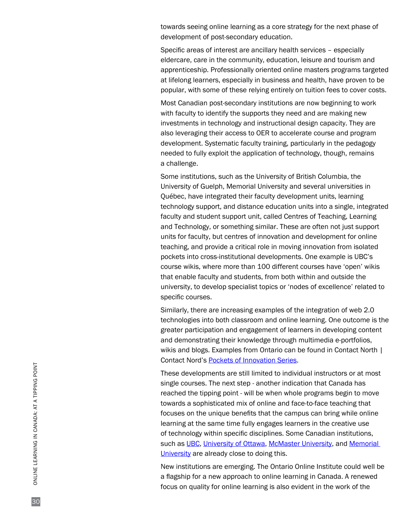towards seeing online learning as a core strategy for the next phase of development of post-secondary education.

Specific areas of interest are ancillary health services – especially eldercare, care in the community, education, leisure and tourism and apprenticeship. Professionally oriented online masters programs targeted at lifelong learners, especially in business and health, have proven to be popular, with some of these relying entirely on tuition fees to cover costs.

Most Canadian post-secondary institutions are now beginning to work with faculty to identify the supports they need and are making new investments in technology and instructional design capacity. They are also leveraging their access to OER to accelerate course and program development. Systematic faculty training, particularly in the pedagogy needed to fully exploit the application of technology, though, remains a challenge.

Some institutions, such as the University of British Columbia, the University of Guelph, Memorial University and several universities in Québec, have integrated their faculty development units, learning technology support, and distance education units into a single, integrated faculty and student support unit, called Centres of Teaching, Learning and Technology, or something similar. These are often not just support units for faculty, but centres of innovation and development for online teaching, and provide a critical role in moving innovation from isolated pockets into cross-institutional developments. One example is UBC's course wikis, where more than 100 different courses have 'open' wikis that enable faculty and students, from both within and outside the university, to develop specialist topics or 'nodes of excellence' related to specific courses.

Similarly, there are increasing examples of the integration of web 2.0 technologies into both classroom and online learning. One outcome is the greater participation and engagement of learners in developing content and demonstrating their knowledge through multimedia e-portfolios, wikis and blogs. Examples from Ontario can be found in Contact North | Contact Nord's [Pockets of Innovation Series](http://www.contactnorth.ca/innovation/pockets-innovation/).

These developments are still limited to individual instructors or at most single courses. The next step - another indication that Canada has reached the tipping point - will be when whole programs begin to move towards a sophisticated mix of online and face-to-face teaching that focuses on the unique benefits that the campus can bring while online learning at the same time fully engages learners in the creative use of technology within specific disciplines. Some Canadian institutions, such as [UBC](http://www.ubc.ca/), [University of Ottawa,](http://www.uottawa.ca/) [McMaster University,](http://www.mcmaster.ca/) and Memorial University are already close to doing this.

New institutions are emerging. The Ontario Online Institute could well be a flagship for a new approach to online learning in Canada. A renewed focus on quality for online learning is also evident in the work of the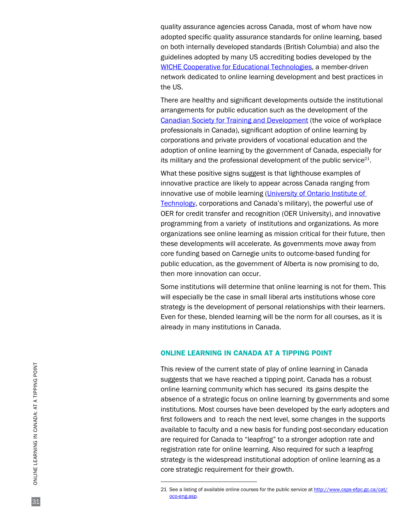quality assurance agencies across Canada, most of whom have now adopted specific quality assurance standards for online learning, based on both internally developed standards (British Columbia) and also the guidelines adopted by many US accrediting bodies developed by the [WICHE Cooperative for Educational Technologies,](http://www.wcet.wiche.edu/) a member-driven network dedicated to online learning development and best practices in the US.

There are healthy and significant developments outside the institutional arrangements for public education such as the development of the [Canadian Society for Training and Development](http://www.cstd.ca/) (the voice of workplace professionals in Canada), significant adoption of online learning by corporations and private providers of vocational education and the adoption of online learning by the government of Canada, especially for its military and the professional development of the public service $21$ .

What these positive signs suggest is that lighthouse examples of innovative practice are likely to appear across Canada ranging from innovative use of mobile learning [\(University of Ontario Institute of](http://www.uoit.ca/) [Technology](http://www.uoit.ca/), corporations and Canada's military), the powerful use of OER for credit transfer and recognition (OER University), and innovative programming from a variety of institutions and organizations. As more organizations see online learning as mission critical for their future, then these developments will accelerate. As governments move away from core funding based on Carnegie units to outcome-based funding for public education, as the government of Alberta is now promising to do, then more innovation can occur.

Some institutions will determine that online learning is not for them. This will especially be the case in small liberal arts institutions whose core strategy is the development of personal relationships with their learners. Even for these, blended learning will be the norm for all courses, as it is already in many institutions in Canada.

## ONLINE LEARNING IN CANADA AT A TIPPING POINT

This review of the current state of play of online learning in Canada suggests that we have reached a tipping point. Canada has a robust online learning community which has secured its gains despite the absence of a strategic focus on online learning by governments and some institutions. Most courses have been developed by the early adopters and first followers and to reach the next level, some changes in the supports available to faculty and a new basis for funding post-secondary education are required for Canada to "leapfrog" to a stronger adoption rate and registration rate for online learning. Also required for such a leapfrog strategy is the widespread institutional adoption of online learning as a core strategic requirement for their growth.

<sup>21</sup> See a listing of available online courses for the public service at [http://www.csps-efpc.gc.ca/cat/](http://www.csps-efpc.gc.ca/cat/oco-eng.asp) [oco-eng.asp.](http://www.csps-efpc.gc.ca/cat/oco-eng.asp)